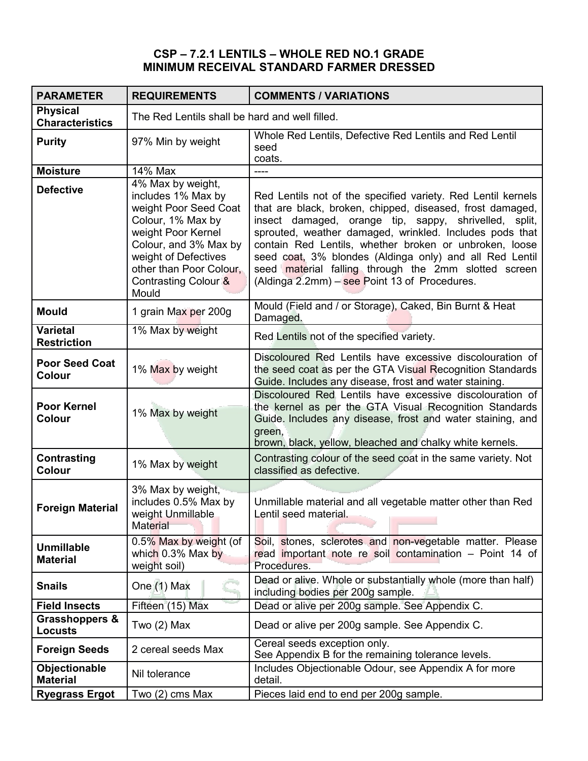## **CSP – 7.2.1 LENTILS – WHOLE RED NO.1 GRADE MINIMUM RECEIVAL STANDARD FARMER DRESSED**

| <b>PARAMETER</b>                            | <b>REQUIREMENTS</b>                                                                                                                                                                                                                     | <b>COMMENTS / VARIATIONS</b>                                                                                                                                                                                                                                                                                                                                                                                                                                                  |
|---------------------------------------------|-----------------------------------------------------------------------------------------------------------------------------------------------------------------------------------------------------------------------------------------|-------------------------------------------------------------------------------------------------------------------------------------------------------------------------------------------------------------------------------------------------------------------------------------------------------------------------------------------------------------------------------------------------------------------------------------------------------------------------------|
| <b>Physical</b><br><b>Characteristics</b>   | The Red Lentils shall be hard and well filled.                                                                                                                                                                                          |                                                                                                                                                                                                                                                                                                                                                                                                                                                                               |
| <b>Purity</b>                               | 97% Min by weight                                                                                                                                                                                                                       | Whole Red Lentils, Defective Red Lentils and Red Lentil<br>seed<br>coats.                                                                                                                                                                                                                                                                                                                                                                                                     |
| <b>Moisture</b>                             | 14% Max                                                                                                                                                                                                                                 | ----                                                                                                                                                                                                                                                                                                                                                                                                                                                                          |
| <b>Defective</b>                            | 4% Max by weight,<br>includes 1% Max by<br>weight Poor Seed Coat<br>Colour, 1% Max by<br>weight Poor Kernel<br>Colour, and 3% Max by<br>weight of Defectives<br>other than Poor Colour,<br>Contrasting Colour <sup>&amp;</sup><br>Mould | Red Lentils not of the specified variety. Red Lentil kernels<br>that are black, broken, chipped, diseased, frost damaged,<br>insect damaged, orange tip, sappy, shrivelled, split,<br>sprouted, weather damaged, wrinkled. Includes pods that<br>contain Red Lentils, whether broken or unbroken, loose<br>seed coat, 3% blondes (Aldinga only) and all Red Lentil<br>seed material falling through the 2mm slotted screen<br>(Aldinga 2.2mm) $-$ see Point 13 of Procedures. |
| <b>Mould</b>                                | 1 grain Max per 200g                                                                                                                                                                                                                    | Mould (Field and / or Storage), Caked, Bin Burnt & Heat<br>Damaged.                                                                                                                                                                                                                                                                                                                                                                                                           |
| <b>Varietal</b><br><b>Restriction</b>       | 1% Max by weight                                                                                                                                                                                                                        | Red Lentils not of the specified variety.                                                                                                                                                                                                                                                                                                                                                                                                                                     |
| <b>Poor Seed Coat</b><br>Colour             | 1% Max by weight                                                                                                                                                                                                                        | Discoloured Red Lentils have excessive discolouration of<br>the seed coat as per the GTA Visual Recognition Standards<br>Guide. Includes any disease, frost and water staining.                                                                                                                                                                                                                                                                                               |
| <b>Poor Kernel</b><br>Colour                | 1% Max by weight                                                                                                                                                                                                                        | Discoloured Red Lentils have excessive discolouration of<br>the kernel as per the GTA Visual Recognition Standards<br>Guide. Includes any disease, frost and water staining, and<br>green,<br>brown, black, yellow, bleached and chalky white kernels.                                                                                                                                                                                                                        |
| Contrasting<br>Colour                       | 1% Max by weight                                                                                                                                                                                                                        | Contrasting colour of the seed coat in the same variety. Not<br>classified as defective.                                                                                                                                                                                                                                                                                                                                                                                      |
| <b>Foreign Material</b>                     | 3% Max by weight,<br>includes 0.5% Max by<br>weight Unmillable<br>Material                                                                                                                                                              | Unmillable material and all vegetable matter other than Red<br>Lentil seed material.                                                                                                                                                                                                                                                                                                                                                                                          |
| <b>Unmillable</b><br><b>Material</b>        | 0.5% Max by weight (of<br>which 0.3% Max by<br>weight soil)                                                                                                                                                                             | stones, sclerotes and non-vegetable matter. Please<br>Soil. I<br>read important note re soil contamination - Point 14 of<br>Procedures.                                                                                                                                                                                                                                                                                                                                       |
| <b>Snails</b>                               | One (1) Max                                                                                                                                                                                                                             | Dead or alive. Whole or substantially whole (more than half)<br>including bodies per 200g sample.                                                                                                                                                                                                                                                                                                                                                                             |
| <b>Field Insects</b>                        | Fifteen (15) Max                                                                                                                                                                                                                        | Dead or alive per 200g sample. See Appendix C.                                                                                                                                                                                                                                                                                                                                                                                                                                |
| <b>Grasshoppers &amp;</b><br><b>Locusts</b> | Two $(2)$ Max                                                                                                                                                                                                                           | Dead or alive per 200g sample. See Appendix C.                                                                                                                                                                                                                                                                                                                                                                                                                                |
| <b>Foreign Seeds</b>                        | 2 cereal seeds Max                                                                                                                                                                                                                      | Cereal seeds exception only.<br>See Appendix B for the remaining tolerance levels.                                                                                                                                                                                                                                                                                                                                                                                            |
| Objectionable<br><b>Material</b>            | Nil tolerance                                                                                                                                                                                                                           | Includes Objectionable Odour, see Appendix A for more<br>detail.                                                                                                                                                                                                                                                                                                                                                                                                              |
| <b>Ryegrass Ergot</b>                       | Two (2) cms Max                                                                                                                                                                                                                         | Pieces laid end to end per 200g sample.                                                                                                                                                                                                                                                                                                                                                                                                                                       |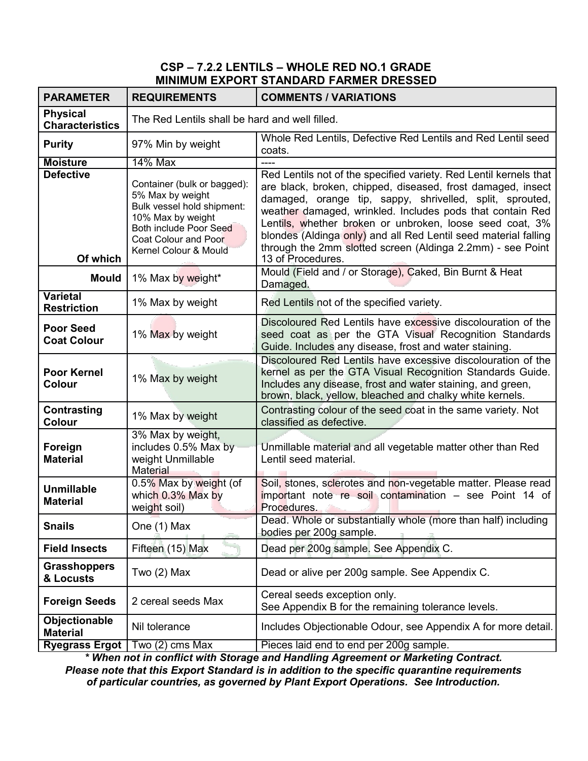#### **CSP – 7.2.2 LENTILS – WHOLE RED NO.1 GRADE MINIMUM EXPORT STANDARD FARMER DRESSED**

| <b>PARAMETER</b>                          | <b>REQUIREMENTS</b>                                                                                                                                                           | <b>COMMENTS / VARIATIONS</b>                                                                                                                                                                                                                                                                                                                                                                                                                                                |
|-------------------------------------------|-------------------------------------------------------------------------------------------------------------------------------------------------------------------------------|-----------------------------------------------------------------------------------------------------------------------------------------------------------------------------------------------------------------------------------------------------------------------------------------------------------------------------------------------------------------------------------------------------------------------------------------------------------------------------|
| <b>Physical</b><br><b>Characteristics</b> | The Red Lentils shall be hard and well filled.                                                                                                                                |                                                                                                                                                                                                                                                                                                                                                                                                                                                                             |
| <b>Purity</b>                             | 97% Min by weight                                                                                                                                                             | Whole Red Lentils, Defective Red Lentils and Red Lentil seed<br>coats.                                                                                                                                                                                                                                                                                                                                                                                                      |
| <b>Moisture</b>                           | <b>14% Max</b>                                                                                                                                                                |                                                                                                                                                                                                                                                                                                                                                                                                                                                                             |
| <b>Defective</b><br>Of which              | Container (bulk or bagged):<br>5% Max by weight<br>Bulk vessel hold shipment:<br>10% Max by weight<br>Both include Poor Seed<br>Coat Colour and Poor<br>Kernel Colour & Mould | Red Lentils not of the specified variety. Red Lentil kernels that<br>are black, broken, chipped, diseased, frost damaged, insect<br>damaged, orange tip, sappy, shrivelled, split, sprouted,<br>weather damaged, wrinkled. Includes pods that contain Red<br>Lentils, whether broken or unbroken, loose seed coat, 3%<br>blondes (Aldinga only) and all Red Lentil seed material falling<br>through the 2mm slotted screen (Aldinga 2.2mm) - see Point<br>13 of Procedures. |
| <b>Mould</b>                              | 1% Max by weight*                                                                                                                                                             | Mould (Field and / or Storage), Caked, Bin Burnt & Heat<br>Damaged.                                                                                                                                                                                                                                                                                                                                                                                                         |
| <b>Varietal</b><br><b>Restriction</b>     | 1% Max by weight                                                                                                                                                              | Red Lentils not of the specified variety.                                                                                                                                                                                                                                                                                                                                                                                                                                   |
| <b>Poor Seed</b><br><b>Coat Colour</b>    | 1% Max by weight                                                                                                                                                              | Discoloured Red Lentils have excessive discolouration of the<br>seed coat as per the GTA Visual Recognition Standards<br>Guide. Includes any disease, frost and water staining.                                                                                                                                                                                                                                                                                             |
| <b>Poor Kernel</b><br><b>Colour</b>       | 1% Max by weight                                                                                                                                                              | Discoloured Red Lentils have excessive discolouration of the<br>kernel as per the GTA Visual Recognition Standards Guide.<br>Includes any disease, frost and water staining, and green,<br>brown, black, yellow, bleached and chalky white kernels.                                                                                                                                                                                                                         |
| Contrasting<br>Colour                     | 1% Max by weight                                                                                                                                                              | Contrasting colour of the seed coat in the same variety. Not<br>classified as defective.                                                                                                                                                                                                                                                                                                                                                                                    |
| Foreign<br><b>Material</b>                | 3% Max by weight,<br>includes 0.5% Max by<br>weight Unmillable<br>Material                                                                                                    | Unmillable material and all vegetable matter other than Red<br>Lentil seed material.                                                                                                                                                                                                                                                                                                                                                                                        |
| <b>Unmillable</b><br><b>Material</b>      | 0.5% Max by weight (of<br>which 0.3% Max by<br>weight soil)                                                                                                                   | Soil, stones, sclerotes and non-vegetable matter. Please read<br>important note re soil contamination - see Point 14 of<br>Procedures.                                                                                                                                                                                                                                                                                                                                      |
| <b>Snails</b>                             | One (1) Max                                                                                                                                                                   | Dead. Whole or substantially whole (more than half) including<br>bodies per 200g sample.                                                                                                                                                                                                                                                                                                                                                                                    |
| <b>Field Insects</b>                      | Fifteen (15) Max                                                                                                                                                              | Dead per 200g sample. See Appendix C.                                                                                                                                                                                                                                                                                                                                                                                                                                       |
| <b>Grasshoppers</b><br>& Locusts          | Two $(2)$ Max                                                                                                                                                                 | Dead or alive per 200g sample. See Appendix C.                                                                                                                                                                                                                                                                                                                                                                                                                              |
| <b>Foreign Seeds</b>                      | 2 cereal seeds Max                                                                                                                                                            | Cereal seeds exception only.<br>See Appendix B for the remaining tolerance levels.                                                                                                                                                                                                                                                                                                                                                                                          |
| Objectionable<br><b>Material</b>          | Nil tolerance                                                                                                                                                                 | Includes Objectionable Odour, see Appendix A for more detail.                                                                                                                                                                                                                                                                                                                                                                                                               |
| <b>Ryegrass Ergot</b>                     | Two (2) cms Max                                                                                                                                                               | Pieces laid end to end per 200g sample.                                                                                                                                                                                                                                                                                                                                                                                                                                     |

*\* When not in conflict with Storage and Handling Agreement or Marketing Contract. Please note that this Export Standard is in addition to the specific quarantine requirements of particular countries, as governed by Plant Export Operations. See Introduction.*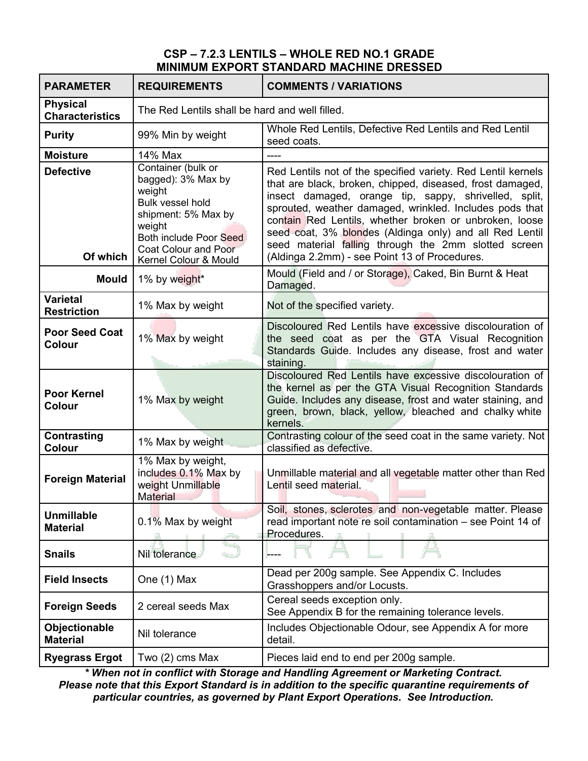### **CSP – 7.2.3 LENTILS – WHOLE RED NO.1 GRADE MINIMUM EXPORT STANDARD MACHINE DRESSED**

| <b>PARAMETER</b>                          | <b>REQUIREMENTS</b>                                                                                                                                                                              | <b>COMMENTS / VARIATIONS</b>                                                                                                                                                                                                                                                                                                                                                                                                                                                |
|-------------------------------------------|--------------------------------------------------------------------------------------------------------------------------------------------------------------------------------------------------|-----------------------------------------------------------------------------------------------------------------------------------------------------------------------------------------------------------------------------------------------------------------------------------------------------------------------------------------------------------------------------------------------------------------------------------------------------------------------------|
| <b>Physical</b><br><b>Characteristics</b> | The Red Lentils shall be hard and well filled.                                                                                                                                                   |                                                                                                                                                                                                                                                                                                                                                                                                                                                                             |
| <b>Purity</b>                             | 99% Min by weight                                                                                                                                                                                | Whole Red Lentils, Defective Red Lentils and Red Lentil<br>seed coats.                                                                                                                                                                                                                                                                                                                                                                                                      |
| <b>Moisture</b>                           | 14% Max                                                                                                                                                                                          | ----                                                                                                                                                                                                                                                                                                                                                                                                                                                                        |
| <b>Defective</b><br>Of which              | Container (bulk or<br>bagged): 3% Max by<br>weight<br><b>Bulk vessel hold</b><br>shipment: 5% Max by<br>weight<br>Both include Poor Seed<br><b>Coat Colour and Poor</b><br>Kernel Colour & Mould | Red Lentils not of the specified variety. Red Lentil kernels<br>that are black, broken, chipped, diseased, frost damaged,<br>insect damaged, orange tip, sappy, shrivelled, split,<br>sprouted, weather damaged, wrinkled. Includes pods that<br>contain Red Lentils, whether broken or unbroken, loose<br>seed coat, 3% blondes (Aldinga only) and all Red Lentil<br>seed material falling through the 2mm slotted screen<br>(Aldinga 2.2mm) - see Point 13 of Procedures. |
| Mould                                     | 1% by weight*                                                                                                                                                                                    | Mould (Field and / or Storage), Caked, Bin Burnt & Heat<br>Damaged.                                                                                                                                                                                                                                                                                                                                                                                                         |
| <b>Varietal</b><br><b>Restriction</b>     | 1% Max by weight                                                                                                                                                                                 | Not of the specified variety.                                                                                                                                                                                                                                                                                                                                                                                                                                               |
| <b>Poor Seed Coat</b><br><b>Colour</b>    | 1% Max by weight                                                                                                                                                                                 | Discoloured Red Lentils have excessive discolouration of<br>the seed coat as per the GTA Visual Recognition<br>Standards Guide. Includes any disease, frost and water<br>staining.                                                                                                                                                                                                                                                                                          |
| <b>Poor Kernel</b><br><b>Colour</b>       | 1% Max by weight                                                                                                                                                                                 | Discoloured Red Lentils have excessive discolouration of<br>the kernel as per the GTA Visual Recognition Standards<br>Guide. Includes any disease, frost and water staining, and<br>green, brown, black, yellow, bleached and chalky white<br>kernels.                                                                                                                                                                                                                      |
| Contrasting<br><b>Colour</b>              | 1% Max by weight                                                                                                                                                                                 | Contrasting colour of the seed coat in the same variety. Not<br>classified as defective.                                                                                                                                                                                                                                                                                                                                                                                    |
| <b>Foreign Material</b>                   | 1% Max by weight,<br>includes 0.1% Max by<br>weight Unmillable<br><b>Material</b>                                                                                                                | Unmillable material and all vegetable matter other than Red<br>Lentil seed material.                                                                                                                                                                                                                                                                                                                                                                                        |
| <b>Unmillable</b><br><b>Material</b>      | 0.1% Max by weight                                                                                                                                                                               | Soil, stones, sclerotes and non-vegetable matter. Please<br>read important note re soil contamination - see Point 14 of<br>Procedures.                                                                                                                                                                                                                                                                                                                                      |
| <b>Snails</b>                             | Nil tolerance                                                                                                                                                                                    |                                                                                                                                                                                                                                                                                                                                                                                                                                                                             |
| <b>Field Insects</b>                      | One (1) Max                                                                                                                                                                                      | Dead per 200g sample. See Appendix C. Includes<br>Grasshoppers and/or Locusts.                                                                                                                                                                                                                                                                                                                                                                                              |
| <b>Foreign Seeds</b>                      | 2 cereal seeds Max                                                                                                                                                                               | Cereal seeds exception only.<br>See Appendix B for the remaining tolerance levels.                                                                                                                                                                                                                                                                                                                                                                                          |
| Objectionable<br><b>Material</b>          | Nil tolerance                                                                                                                                                                                    | Includes Objectionable Odour, see Appendix A for more<br>detail.                                                                                                                                                                                                                                                                                                                                                                                                            |
| <b>Ryegrass Ergot</b>                     | Two $(2)$ cms Max                                                                                                                                                                                | Pieces laid end to end per 200g sample.                                                                                                                                                                                                                                                                                                                                                                                                                                     |

*\* When not in conflict with Storage and Handling Agreement or Marketing Contract. Please note that this Export Standard is in addition to the specific quarantine requirements of particular countries, as governed by Plant Export Operations. See Introduction.*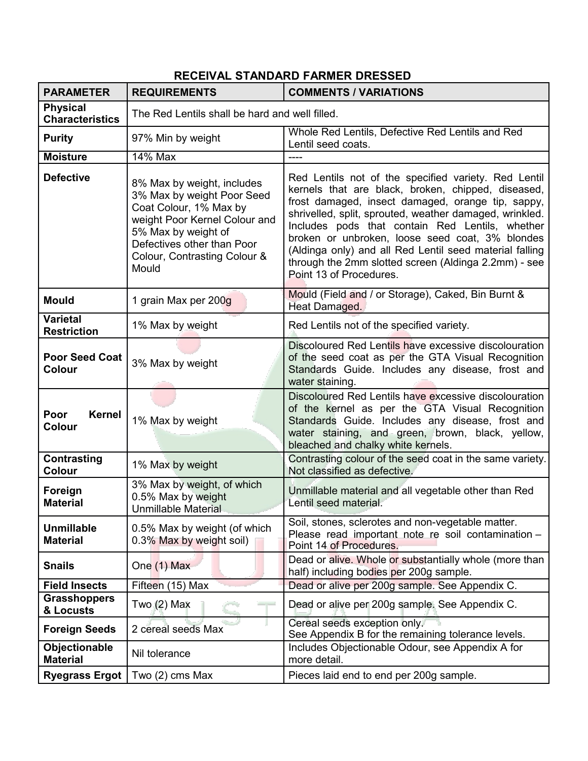# **RECEIVAL STANDARD FARMER DRESSED**

| <b>PARAMETER</b>                          | <b>REQUIREMENTS</b>                                                                                                                                                                                               | <b>COMMENTS / VARIATIONS</b>                                                                                                                                                                                                                                                                                                                                                                                                                                                   |
|-------------------------------------------|-------------------------------------------------------------------------------------------------------------------------------------------------------------------------------------------------------------------|--------------------------------------------------------------------------------------------------------------------------------------------------------------------------------------------------------------------------------------------------------------------------------------------------------------------------------------------------------------------------------------------------------------------------------------------------------------------------------|
| <b>Physical</b><br><b>Characteristics</b> | The Red Lentils shall be hard and well filled.                                                                                                                                                                    |                                                                                                                                                                                                                                                                                                                                                                                                                                                                                |
| <b>Purity</b>                             | 97% Min by weight                                                                                                                                                                                                 | Whole Red Lentils, Defective Red Lentils and Red<br>Lentil seed coats.                                                                                                                                                                                                                                                                                                                                                                                                         |
| <b>Moisture</b>                           | <b>14% Max</b>                                                                                                                                                                                                    |                                                                                                                                                                                                                                                                                                                                                                                                                                                                                |
| <b>Defective</b>                          | 8% Max by weight, includes<br>3% Max by weight Poor Seed<br>Coat Colour, 1% Max by<br>weight Poor Kernel Colour and<br>5% Max by weight of<br>Defectives other than Poor<br>Colour, Contrasting Colour &<br>Mould | Red Lentils not of the specified variety. Red Lentil<br>kernels that are black, broken, chipped, diseased,<br>frost damaged, insect damaged, orange tip, sappy,<br>shrivelled, split, sprouted, weather damaged, wrinkled.<br>Includes pods that contain Red Lentils, whether<br>broken or unbroken, loose seed coat, 3% blondes<br>(Aldinga only) and all Red Lentil seed material falling<br>through the 2mm slotted screen (Aldinga 2.2mm) - see<br>Point 13 of Procedures. |
| <b>Mould</b>                              | 1 grain Max per 200g                                                                                                                                                                                              | Mould (Field and / or Storage), Caked, Bin Burnt &<br>Heat Damaged.                                                                                                                                                                                                                                                                                                                                                                                                            |
| <b>Varietal</b><br><b>Restriction</b>     | 1% Max by weight                                                                                                                                                                                                  | Red Lentils not of the specified variety.                                                                                                                                                                                                                                                                                                                                                                                                                                      |
| <b>Poor Seed Coat</b><br><b>Colour</b>    | 3% Max by weight                                                                                                                                                                                                  | Discoloured Red Lentils have excessive discolouration<br>of the seed coat as per the GTA Visual Recognition<br>Standards Guide. Includes any disease, frost and<br>water staining.                                                                                                                                                                                                                                                                                             |
| <b>Kernel</b><br>Poor<br><b>Colour</b>    | 1% Max by weight                                                                                                                                                                                                  | Discoloured Red Lentils have excessive discolouration<br>of the kernel as per the GTA Visual Recognition<br>Standards Guide. Includes any disease, frost and<br>water staining, and green, brown, black, yellow,<br>bleached and chalky white kernels.                                                                                                                                                                                                                         |
| Contrasting<br>Colour                     | 1% Max by weight                                                                                                                                                                                                  | Contrasting colour of the seed coat in the same variety.<br>Not classified as defective.                                                                                                                                                                                                                                                                                                                                                                                       |
| Foreign<br><b>Material</b>                | 3% Max by weight, of which<br>0.5% Max by weight<br>Unmillable Material                                                                                                                                           | Unmillable material and all vegetable other than Red<br>Lentil seed material.                                                                                                                                                                                                                                                                                                                                                                                                  |
| <b>Unmillable</b><br><b>Material</b>      | 0.5% Max by weight (of which<br>0.3% Max by weight soil)                                                                                                                                                          | Soil, stones, sclerotes and non-vegetable matter.<br>Please read important note re soil contamination -<br>Point 14 of Procedures.                                                                                                                                                                                                                                                                                                                                             |
| <b>Snails</b>                             | One (1) Max                                                                                                                                                                                                       | Dead or alive. Whole or substantially whole (more than<br>half) including bodies per 200g sample.                                                                                                                                                                                                                                                                                                                                                                              |
| <b>Field Insects</b>                      | Fifteen (15) Max                                                                                                                                                                                                  | Dead or alive per 200g sample. See Appendix C.                                                                                                                                                                                                                                                                                                                                                                                                                                 |
| <b>Grasshoppers</b><br>& Locusts          | Two $(2)$ Max                                                                                                                                                                                                     | Dead or alive per 200g sample. See Appendix C.                                                                                                                                                                                                                                                                                                                                                                                                                                 |
| <b>Foreign Seeds</b>                      | 2 cereal seeds Max                                                                                                                                                                                                | Cereal seeds exception only.<br>See Appendix B for the remaining tolerance levels.                                                                                                                                                                                                                                                                                                                                                                                             |
| Objectionable<br><b>Material</b>          | Nil tolerance                                                                                                                                                                                                     | Includes Objectionable Odour, see Appendix A for<br>more detail.                                                                                                                                                                                                                                                                                                                                                                                                               |
| <b>Ryegrass Ergot</b>                     | Two (2) cms Max                                                                                                                                                                                                   | Pieces laid end to end per 200g sample.                                                                                                                                                                                                                                                                                                                                                                                                                                        |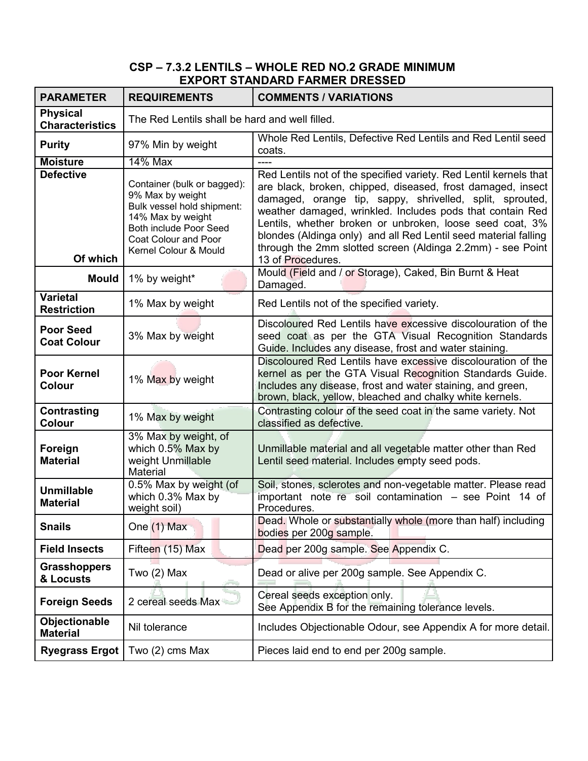### **CSP – 7.3.2 LENTILS – WHOLE RED NO.2 GRADE MINIMUM EXPORT STANDARD FARMER DRESSED**

| <b>PARAMETER</b>                          | <b>REQUIREMENTS</b>                                                                                                                                                           | <b>COMMENTS / VARIATIONS</b>                                                                                                                                                                                                                                                                                                                                                                                                                                                |
|-------------------------------------------|-------------------------------------------------------------------------------------------------------------------------------------------------------------------------------|-----------------------------------------------------------------------------------------------------------------------------------------------------------------------------------------------------------------------------------------------------------------------------------------------------------------------------------------------------------------------------------------------------------------------------------------------------------------------------|
| <b>Physical</b><br><b>Characteristics</b> | The Red Lentils shall be hard and well filled.                                                                                                                                |                                                                                                                                                                                                                                                                                                                                                                                                                                                                             |
| <b>Purity</b>                             | 97% Min by weight                                                                                                                                                             | Whole Red Lentils, Defective Red Lentils and Red Lentil seed<br>coats.                                                                                                                                                                                                                                                                                                                                                                                                      |
| <b>Moisture</b>                           | <b>14% Max</b>                                                                                                                                                                |                                                                                                                                                                                                                                                                                                                                                                                                                                                                             |
| <b>Defective</b><br>Of which              | Container (bulk or bagged):<br>9% Max by weight<br>Bulk vessel hold shipment:<br>14% Max by weight<br>Both include Poor Seed<br>Coat Colour and Poor<br>Kernel Colour & Mould | Red Lentils not of the specified variety. Red Lentil kernels that<br>are black, broken, chipped, diseased, frost damaged, insect<br>damaged, orange tip, sappy, shrivelled, split, sprouted,<br>weather damaged, wrinkled. Includes pods that contain Red<br>Lentils, whether broken or unbroken, loose seed coat, 3%<br>blondes (Aldinga only) and all Red Lentil seed material falling<br>through the 2mm slotted screen (Aldinga 2.2mm) - see Point<br>13 of Procedures. |
| Mould                                     | 1% by weight*                                                                                                                                                                 | Mould (Field and / or Storage), Caked, Bin Burnt & Heat<br>Damaged.                                                                                                                                                                                                                                                                                                                                                                                                         |
| <b>Varietal</b><br><b>Restriction</b>     | 1% Max by weight                                                                                                                                                              | Red Lentils not of the specified variety.                                                                                                                                                                                                                                                                                                                                                                                                                                   |
| <b>Poor Seed</b><br><b>Coat Colour</b>    | 3% Max by weight                                                                                                                                                              | Discoloured Red Lentils have excessive discolouration of the<br>seed coat as per the GTA Visual Recognition Standards<br>Guide. Includes any disease, frost and water staining.                                                                                                                                                                                                                                                                                             |
| <b>Poor Kernel</b><br><b>Colour</b>       | 1% Max by weight                                                                                                                                                              | Discoloured Red Lentils have excessive discolouration of the<br>kernel as per the GTA Visual Recognition Standards Guide.<br>Includes any disease, frost and water staining, and green,<br>brown, black, yellow, bleached and chalky white kernels.                                                                                                                                                                                                                         |
| Contrasting<br>Colour                     | 1% Max by weight                                                                                                                                                              | Contrasting colour of the seed coat in the same variety. Not<br>classified as defective.                                                                                                                                                                                                                                                                                                                                                                                    |
| Foreign<br><b>Material</b>                | 3% Max by weight, of<br>which 0.5% Max by<br>weight Unmillable<br>Material                                                                                                    | Unmillable material and all vegetable matter other than Red<br>Lentil seed material. Includes empty seed pods.                                                                                                                                                                                                                                                                                                                                                              |
| <b>Unmillable</b><br><b>Material</b>      | 0.5% Max by weight (of<br>which 0.3% Max by<br>weight soil)                                                                                                                   | Soil, stones, sclerotes and non-vegetable matter. Please read<br>important note re soil contamination - see Point 14 of<br>Procedures.                                                                                                                                                                                                                                                                                                                                      |
| <b>Snails</b>                             | One (1) Max                                                                                                                                                                   | Dead. Whole or substantially whole (more than half) including<br>bodies per 200g sample.                                                                                                                                                                                                                                                                                                                                                                                    |
| <b>Field Insects</b>                      | Fifteen (15) Max                                                                                                                                                              | Dead per 200g sample. See Appendix C.                                                                                                                                                                                                                                                                                                                                                                                                                                       |
| <b>Grasshoppers</b><br>& Locusts          | Two $(2)$ Max                                                                                                                                                                 | Dead or alive per 200g sample. See Appendix C.                                                                                                                                                                                                                                                                                                                                                                                                                              |
| <b>Foreign Seeds</b>                      | 2 cereal seeds Max                                                                                                                                                            | Cereal seeds exception only.<br>See Appendix B for the remaining tolerance levels.                                                                                                                                                                                                                                                                                                                                                                                          |
| Objectionable<br><b>Material</b>          | Nil tolerance                                                                                                                                                                 | Includes Objectionable Odour, see Appendix A for more detail.                                                                                                                                                                                                                                                                                                                                                                                                               |
| <b>Ryegrass Ergot</b>                     | Two $(2)$ cms Max                                                                                                                                                             | Pieces laid end to end per 200g sample.                                                                                                                                                                                                                                                                                                                                                                                                                                     |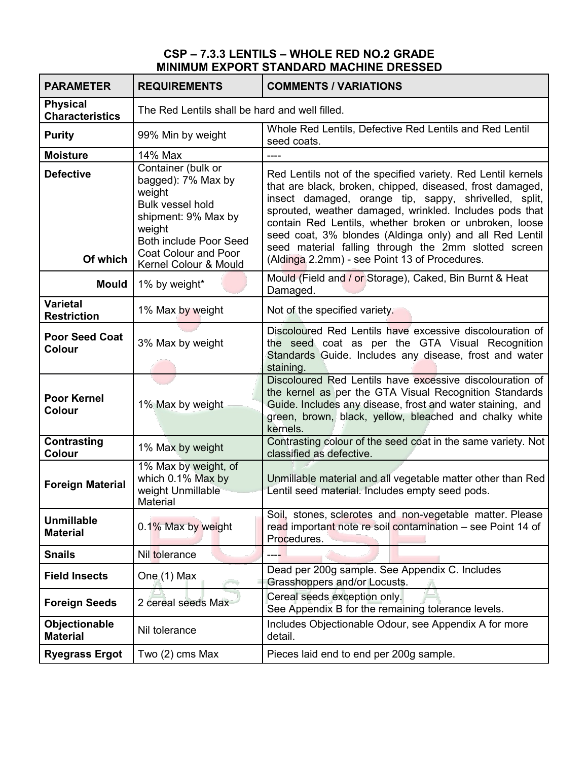### **CSP – 7.3.3 LENTILS – WHOLE RED NO.2 GRADE MINIMUM EXPORT STANDARD MACHINE DRESSED**

| <b>PARAMETER</b>                          | <b>REQUIREMENTS</b>                                                                                                                                                                              | <b>COMMENTS / VARIATIONS</b>                                                                                                                                                                                                                                                                                                                                                                                                                                                |
|-------------------------------------------|--------------------------------------------------------------------------------------------------------------------------------------------------------------------------------------------------|-----------------------------------------------------------------------------------------------------------------------------------------------------------------------------------------------------------------------------------------------------------------------------------------------------------------------------------------------------------------------------------------------------------------------------------------------------------------------------|
| <b>Physical</b><br><b>Characteristics</b> | The Red Lentils shall be hard and well filled.                                                                                                                                                   |                                                                                                                                                                                                                                                                                                                                                                                                                                                                             |
| <b>Purity</b>                             | 99% Min by weight                                                                                                                                                                                | Whole Red Lentils, Defective Red Lentils and Red Lentil<br>seed coats.                                                                                                                                                                                                                                                                                                                                                                                                      |
| <b>Moisture</b>                           | 14% Max                                                                                                                                                                                          | ----                                                                                                                                                                                                                                                                                                                                                                                                                                                                        |
| <b>Defective</b><br>Of which              | Container (bulk or<br>bagged): 7% Max by<br>weight<br><b>Bulk vessel hold</b><br>shipment: 9% Max by<br>weight<br><b>Both include Poor Seed</b><br>Coat Colour and Poor<br>Kernel Colour & Mould | Red Lentils not of the specified variety. Red Lentil kernels<br>that are black, broken, chipped, diseased, frost damaged,<br>insect damaged, orange tip, sappy, shrivelled, split,<br>sprouted, weather damaged, wrinkled. Includes pods that<br>contain Red Lentils, whether broken or unbroken, loose<br>seed coat, 3% blondes (Aldinga only) and all Red Lentil<br>seed material falling through the 2mm slotted screen<br>(Aldinga 2.2mm) - see Point 13 of Procedures. |
| <b>Mould</b>                              | 1% by weight*                                                                                                                                                                                    | Mould (Field and / or Storage), Caked, Bin Burnt & Heat<br>Damaged.                                                                                                                                                                                                                                                                                                                                                                                                         |
| <b>Varietal</b><br><b>Restriction</b>     | 1% Max by weight                                                                                                                                                                                 | Not of the specified variety.                                                                                                                                                                                                                                                                                                                                                                                                                                               |
| <b>Poor Seed Coat</b><br><b>Colour</b>    | 3% Max by weight                                                                                                                                                                                 | Discoloured Red Lentils have excessive discolouration of<br>the seed coat as per the GTA Visual Recognition<br>Standards Guide. Includes any disease, frost and water<br>staining.                                                                                                                                                                                                                                                                                          |
| <b>Poor Kernel</b><br><b>Colour</b>       | 1% Max by weight-                                                                                                                                                                                | Discoloured Red Lentils have excessive discolouration of<br>the kernel as per the GTA Visual Recognition Standards<br>Guide. Includes any disease, frost and water staining, and<br>green, brown, black, yellow, bleached and chalky white<br>kernels.                                                                                                                                                                                                                      |
| Contrasting<br>Colour                     | 1% Max by weight                                                                                                                                                                                 | Contrasting colour of the seed coat in the same variety. Not<br>classified as defective.                                                                                                                                                                                                                                                                                                                                                                                    |
| <b>Foreign Material</b>                   | 1% Max by weight, of<br>which 0.1% Max by<br>weight Unmillable<br>Material                                                                                                                       | Unmillable material and all vegetable matter other than Red<br>Lentil seed material. Includes empty seed pods.                                                                                                                                                                                                                                                                                                                                                              |
| <b>Unmillable</b><br><b>Material</b>      | 0.1% Max by weight                                                                                                                                                                               | Soil, stones, sclerotes and non-vegetable matter. Please<br>read important note re soil contamination - see Point 14 of<br>Procedures.                                                                                                                                                                                                                                                                                                                                      |
| <b>Snails</b>                             | Nil tolerance                                                                                                                                                                                    |                                                                                                                                                                                                                                                                                                                                                                                                                                                                             |
| <b>Field Insects</b>                      | One (1) Max                                                                                                                                                                                      | Dead per 200g sample. See Appendix C. Includes<br>Grasshoppers and/or Locusts.                                                                                                                                                                                                                                                                                                                                                                                              |
| <b>Foreign Seeds</b>                      | 2 cereal seeds Max                                                                                                                                                                               | Cereal seeds exception only.<br>See Appendix B for the remaining tolerance levels.                                                                                                                                                                                                                                                                                                                                                                                          |
| Objectionable<br><b>Material</b>          | Nil tolerance                                                                                                                                                                                    | Includes Objectionable Odour, see Appendix A for more<br>detail.                                                                                                                                                                                                                                                                                                                                                                                                            |
| <b>Ryegrass Ergot</b>                     | Two (2) cms Max                                                                                                                                                                                  | Pieces laid end to end per 200g sample.                                                                                                                                                                                                                                                                                                                                                                                                                                     |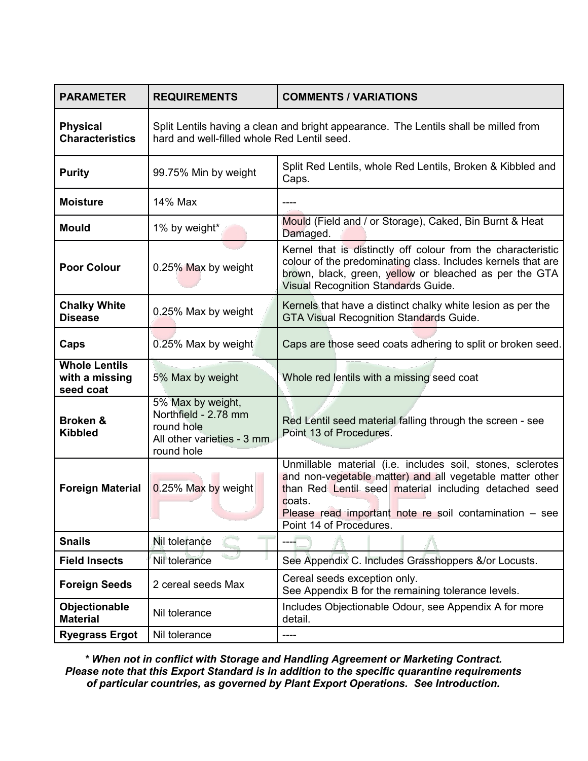| <b>PARAMETER</b>                                    | <b>REQUIREMENTS</b>                                                                                                                 | <b>COMMENTS / VARIATIONS</b>                                                                                                                                                                                                                                                     |
|-----------------------------------------------------|-------------------------------------------------------------------------------------------------------------------------------------|----------------------------------------------------------------------------------------------------------------------------------------------------------------------------------------------------------------------------------------------------------------------------------|
| <b>Physical</b><br><b>Characteristics</b>           | Split Lentils having a clean and bright appearance. The Lentils shall be milled from<br>hard and well-filled whole Red Lentil seed. |                                                                                                                                                                                                                                                                                  |
| <b>Purity</b>                                       | 99.75% Min by weight                                                                                                                | Split Red Lentils, whole Red Lentils, Broken & Kibbled and<br>Caps.                                                                                                                                                                                                              |
| <b>Moisture</b>                                     | 14% Max                                                                                                                             |                                                                                                                                                                                                                                                                                  |
| <b>Mould</b>                                        | 1% by weight*                                                                                                                       | Mould (Field and / or Storage), Caked, Bin Burnt & Heat<br>Damaged.                                                                                                                                                                                                              |
| <b>Poor Colour</b>                                  | 0.25% Max by weight                                                                                                                 | Kernel that is distinctly off colour from the characteristic<br>colour of the predominating class. Includes kernels that are<br>brown, black, green, yellow or bleached as per the GTA<br><b>Visual Recognition Standards Guide.</b>                                             |
| <b>Chalky White</b><br><b>Disease</b>               | 0.25% Max by weight                                                                                                                 | Kernels that have a distinct chalky white lesion as per the<br><b>GTA Visual Recognition Standards Guide.</b>                                                                                                                                                                    |
| Caps                                                | 0.25% Max by weight                                                                                                                 | Caps are those seed coats adhering to split or broken seed.                                                                                                                                                                                                                      |
| <b>Whole Lentils</b><br>with a missing<br>seed coat | 5% Max by weight                                                                                                                    | Whole red lentils with a missing seed coat                                                                                                                                                                                                                                       |
| <b>Broken &amp;</b><br><b>Kibbled</b>               | 5% Max by weight,<br>Northfield - 2.78 mm<br>round hole<br>All other varieties - 3 mm<br>round hole                                 | Red Lentil seed material falling through the screen - see<br>Point 13 of Procedures.                                                                                                                                                                                             |
| <b>Foreign Material</b>                             | 0.25% Max by weight                                                                                                                 | Unmillable material (i.e. includes soil, stones, sclerotes<br>and non-vegetable matter) and all vegetable matter other<br>than Red Lentil seed material including detached seed<br>coats.<br>Please read important note re soil contamination $-$ see<br>Point 14 of Procedures. |
| <b>Snails</b>                                       | Nil tolerance                                                                                                                       | ----                                                                                                                                                                                                                                                                             |
| <b>Field Insects</b>                                | Nil tolerance                                                                                                                       | See Appendix C. Includes Grasshoppers &/or Locusts.                                                                                                                                                                                                                              |
| <b>Foreign Seeds</b>                                | 2 cereal seeds Max                                                                                                                  | Cereal seeds exception only.<br>See Appendix B for the remaining tolerance levels.                                                                                                                                                                                               |
| Objectionable<br><b>Material</b>                    | Nil tolerance                                                                                                                       | Includes Objectionable Odour, see Appendix A for more<br>detail.                                                                                                                                                                                                                 |
| <b>Ryegrass Ergot</b>                               | Nil tolerance                                                                                                                       |                                                                                                                                                                                                                                                                                  |

*\* When not in conflict with Storage and Handling Agreement or Marketing Contract. Please note that this Export Standard is in addition to the specific quarantine requirements of particular countries, as governed by Plant Export Operations. See Introduction.*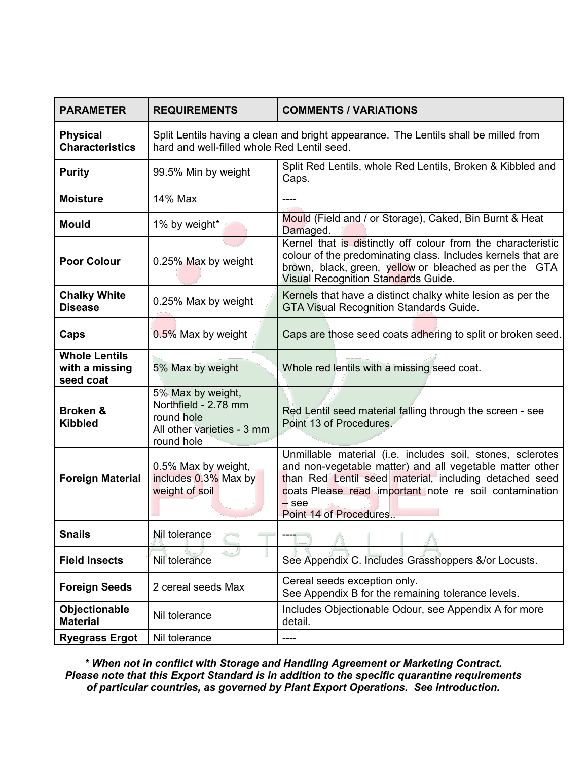| <b>PARAMETER</b>                                    | <b>REQUIREMENTS</b>                                                                                                                 | <b>COMMENTS / VARIATIONS</b>                                                                                                                                                                                                                                                    |
|-----------------------------------------------------|-------------------------------------------------------------------------------------------------------------------------------------|---------------------------------------------------------------------------------------------------------------------------------------------------------------------------------------------------------------------------------------------------------------------------------|
| <b>Physical</b><br><b>Characteristics</b>           | Split Lentils having a clean and bright appearance. The Lentils shall be milled from<br>hard and well-filled whole Red Lentil seed. |                                                                                                                                                                                                                                                                                 |
| <b>Purity</b>                                       | 99.5% Min by weight                                                                                                                 | Split Red Lentils, whole Red Lentils, Broken & Kibbled and<br>Caps.                                                                                                                                                                                                             |
| <b>Moisture</b>                                     | 14% Max                                                                                                                             |                                                                                                                                                                                                                                                                                 |
| Mould                                               | 1% by weight*                                                                                                                       | Mould (Field and / or Storage), Caked, Bin Burnt & Heat<br>Damaged.                                                                                                                                                                                                             |
| <b>Poor Colour</b>                                  | 0.25% Max by weight                                                                                                                 | Kernel that is distinctly off colour from the characteristic<br>colour of the predominating class. Includes kernels that are<br>brown, black, green, yellow or bleached as per the GTA<br>Visual Recognition Standards Guide.                                                   |
| <b>Chalky White</b><br><b>Disease</b>               | 0.25% Max by weight                                                                                                                 | Kernels that have a distinct chalky white lesion as per the<br><b>GTA Visual Recognition Standards Guide.</b>                                                                                                                                                                   |
| Caps                                                | 0.5% Max by weight                                                                                                                  | Caps are those seed coats adhering to split or broken seed.                                                                                                                                                                                                                     |
| <b>Whole Lentils</b><br>with a missing<br>seed coat | 5% Max by weight                                                                                                                    | Whole red lentils with a missing seed coat.                                                                                                                                                                                                                                     |
| <b>Broken &amp;</b><br><b>Kibbled</b>               | 5% Max by weight,<br>Northfield - 2.78 mm<br>round hole<br>All other varieties - 3 mm<br>round hole                                 | Red Lentil seed material falling through the screen - see<br>Point 13 of Procedures.                                                                                                                                                                                            |
| <b>Foreign Material</b>                             | 0.5% Max by weight,<br>includes 0.3% Max by<br>weight of soil                                                                       | Unmillable material (i.e. includes soil, stones, sclerotes<br>and non-vegetable matter) and all vegetable matter other<br>than Red Lentil seed material, including detached seed<br>coats Please read important note re soil contamination<br>$-$ see<br>Point 14 of Procedures |
| <b>Snails</b>                                       | Nil tolerance                                                                                                                       |                                                                                                                                                                                                                                                                                 |
| <b>Field Insects</b>                                | Nil tolerance                                                                                                                       | See Appendix C. Includes Grasshoppers &/or Locusts.                                                                                                                                                                                                                             |
| <b>Foreign Seeds</b>                                | 2 cereal seeds Max                                                                                                                  | Cereal seeds exception only.<br>See Appendix B for the remaining tolerance levels.                                                                                                                                                                                              |
| Objectionable<br><b>Material</b>                    | Nil tolerance                                                                                                                       | Includes Objectionable Odour, see Appendix A for more<br>detail.                                                                                                                                                                                                                |
| <b>Ryegrass Ergot</b>                               | Nil tolerance                                                                                                                       | ----                                                                                                                                                                                                                                                                            |

*\* When not in conflict with Storage and Handling Agreement or Marketing Contract. Please note that this Export Standard is in addition to the specific quarantine requirements of particular countries, as governed by Plant Export Operations. See Introduction.*